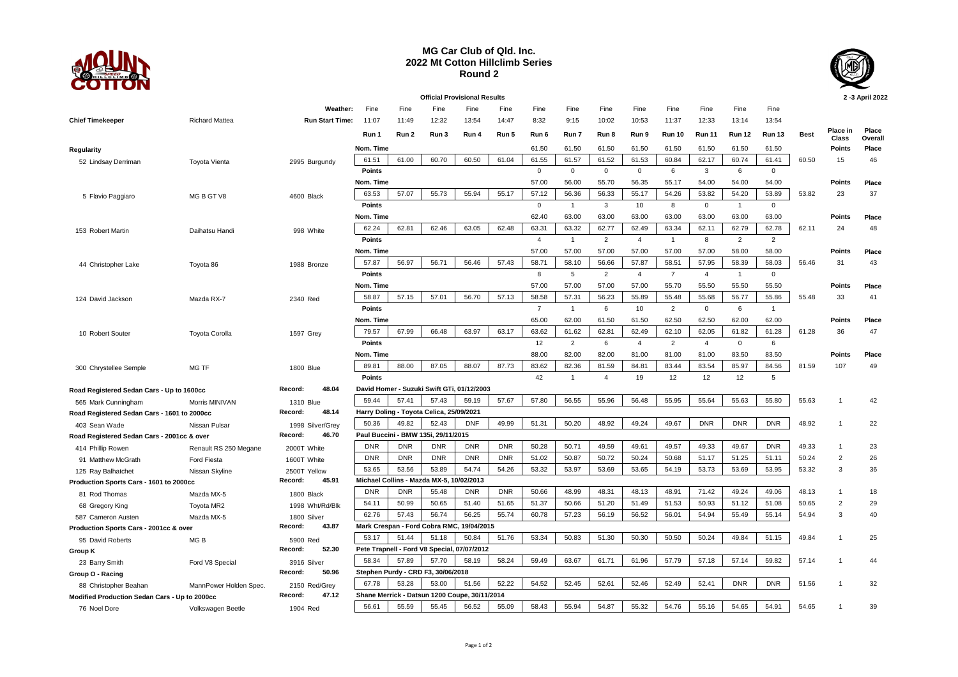

## **MG Car Club of Qld. Inc. 2022 Mt Cotton Hillclimb Series Round 2**



**Place Overall**

## **Official Provisional Results 2 -3 April 2022 Weather:** Fine Fine Fine Fine Fine Fine Fine Fine Fine Fine Fine Fine Fine **Chief Timekeeper** Richard Mattea **Run Start Time:** 11:07 11:49 12:32 13:54 14:47 8:32 9:15 10:02 10:53 11:37 12:33 13:14 13:54 **Run 1 Run 2 Run 3 Run 4 Run 5 Run 6 Run 7 Run 8 Run 9 Run 10 Run 11 Run 12 Run 13 Best Place in Class Regularity Nom. Time** 61.50 61.50 61.50 61.50 61.50 61.50 61.50 61.50 **Points Place** 52 Lindsay Derriman Toyota Vienta 2995 Burgundy 61.51 61.00 60.70 60.50 61.04 61.55 61.57 61.52 61.53 60.84 62.17 60.74 61.41 60.50 15 46 **Points** 0 0 0 0 6 3 6 0 **Nom. Time** 57.00 56.00 55.70 56.35 55.17 54.00 54.00 54.00 **Points Place** 5 Flavio Paggiaro MG B GT V8 4600 Black <mark>63.53 | 57.07 | 55.73 | 55.94 | 57.12 | 56.36 | 56.33 | 55.17 | 54.26 | 53.82 | 54.20 | 53.89 | 53.89 | 53.82 | 23 | 37</mark> **Points** 0 1 3 10 8 0 1 0 **Nom. Time** 62.40 63.00 63.00 63.00 63.00 63.00 63.00 63.00 **Points Place** 153 Robert Martin Daihatsu Handi 998 White 62.24 62.81 62.46 63.05 62.48 63.31 63.32 62.77 62.49 63.34 62.11 62.79 62.78 62.11 24 48 **Points** 4 1 2 4 1 8 2 2 **Nom. Time** 57.00 57.00 57.00 57.00 57.00 57.00 58.00 58.00 **Points Place** 44 Christopher Lake Toyota 86 1988 Bronze 57.87 56.97 56.71 56.46 57.43 58.71 58.10 56.66 57.87 58.51 57.95 58.39 58.03 56.46 31 43 **Points** 2 2 4 7 4 1 0 **Nom. Time** 57.00 57.00 57.00 57.00 55.70 55.50 55.50 55.50 **Points Place** 124 David Jackson Mazda RX-7 2340 Red 58.87 57.15 57.15 57.13 58.58 57.31 56.23 55.89 55.88 55.86 55.86 55.86 55.48 33 41 **Points** 7 1 6 10 2 0 6 1 **Nom. Time** 65.00 62.00 61.50 61.50 62.50 62.50 62.00 62.00 **Points Place** 10 Robert Souter Toyota Corolla 1597 Grey <mark>【79.57 ] 67.99 ] 66.48 ] 63.97 ] 63.62 ] 61.62 ] 62.62 ] 62.49 ] 62.49 ] 62.05 ] 61.82 ] 61.28 ] 61.28 61.28 36 47</mark> **Points** 12 2 6 4 2 4 0 6 **Nom. Time** 88.00 82.00 82.00 81.00 81.00 81.00 83.50 83.50 **Points Place** 300 Chrystellee Semple MG TF 1800 Blue 89.81 88.00 87.05 88.07 87.73 83.62 82.36 81.59 84.81 83.54 83.54 88.59 84.56 81.59 107 49 **Points 2018 2028 42 4 4 4 4 4 19 12 12 5 12 12 5 Road Registered Sedan Cars - Up to 1600cc Record: 48.04 David Homer - Suzuki Swift GTi, 01/12/2003** 565 Mark Cunningham Morris MINIVAN 1310 Blue [59.44 | 57.41 | 57.43 | 59.19 | 57.80 | 56.55 | 55.96 | 55.56 | 55.55 | 55.56 | 55.53 | 55.80 | 55.63 | 55.63 | 55.63 | 55.63 | 55.63 | 55.63 | 55.63 | 55.63 | 55.63 | 55.63 | **Road Registered Sedan Cars - 1601 to 2000cc Record: 48.14 Harry Doling - Toyota Celica, 25/09/2021** 403 Sean Wade Nissan Pulsar 1998 Silver/Grey 50.36 49.82 52.43 DNF 49.99 51.31 50.20 48.92 49.24 49.67 DNR DNR DNR 48.92 1 22 **Road Registered Sedan Cars - 2001cc & over Record: 46.70 Paul Buccini - BMW 135i, 29/11/2015** 414 Phillip Rowen Renault RS 250 Megane 2000T White DNR DNR DNR DNR DNR 50.28 50.71 49.59 49.61 49.57 49.33 49.67 DNR 49.33 1 23 91 Matthew McGrath Ford Fiesta 1600T White DNR | DNR | DNR | DNR | DNR | 51.02 | 50.87 | 50.24 | 50.24 | 50.25 | 51.11 | 50.24 | 2 26 125 Ray Balhatchet Nissan Skyline 2500T Yellow 53.65 53.56 53.89 54.74 54.26 53.32 53.97 53.69 53.65 54.19 53.73 53.69 53.95 53.32 3 36 **Production Sports Cars - 1601 to 2000cc Record: 45.91 Michael Collins - Mazda MX-5, 10/02/2013** 81 Rod Thomas Mazda MX-5 1800 Black <mark>DNR | DNR | 55.48 | DNR | DNR | D</mark>NR | 30.66 | 48.91 | 48.13 | 48.14 48.14 49.24 | 49.06 | 48.13 1 18 68 Gregory King Toyota MR2 1998 Wht/Rd/Blk 54.11 50.99 50.65 51.40 51.65 51.37 50.66 51.20 51.49 51.53 50.93 51.12 51.08 50.65 2 29 587 Cameron Austen Mazda MX-5 1800 Silver 62.76 57.43 56.74 56.25 55.74 60.78 57.23 56.19 56.52 56.01 54.94 55.49 55.14 54.94 3 40 **Production Sports Cars - 2001cc & over Record: 43.87 Mark Crespan - Ford Cobra RMC, 19/04/2015** 95 David Roberts MG B 5900 Red | 53.17 | 51.44 | 51.18 | 50.84 | 51.76 | 53.34 | 50.83 | 51.30 | 50.30 | 50.20 | 50.24 | 49.84 | 51.15 | 49.84 1 25 **Group K Record: 52.30 Pete Trapnell - Ford V8 Special, 07/07/2012** 23 Barry Smith Ford V8 Special 3916 Silver 58.34 | 57.89 | 57.70 | 58.29 | 58.24 | 59.82 | 61.71 | 61.96 | 57.79 | 57.18 | 57.14 | 59.82 | 57.14 | 1 44 **Group O - Racing Record: 50.96 Stephen Purdy - CRD F3, 30/06/2018** 88 Christopher Beahan MannPower Holden Spec. 2150 Red/Grey 67.78 53.28 | 53.00 | 51.56 | 52.22 | 54.52 | 52.45 | 52.45 | 52.46 | 52.49 | 52.41 | DNR | DNR | 51.56 1 32 **Modified Production Sedan Cars - Up to 2000cc Record: 47.12 Shane Merrick - Datsun 1200 Coupe, 30/11/2014**

76 Noel Dore Volkswagen Beetle 1904 Red 56.61 55.59 55.45 55.52 58.43 55.94 54.87 55.32 54.76 55.16 54.65 54.65 54.65 1 39